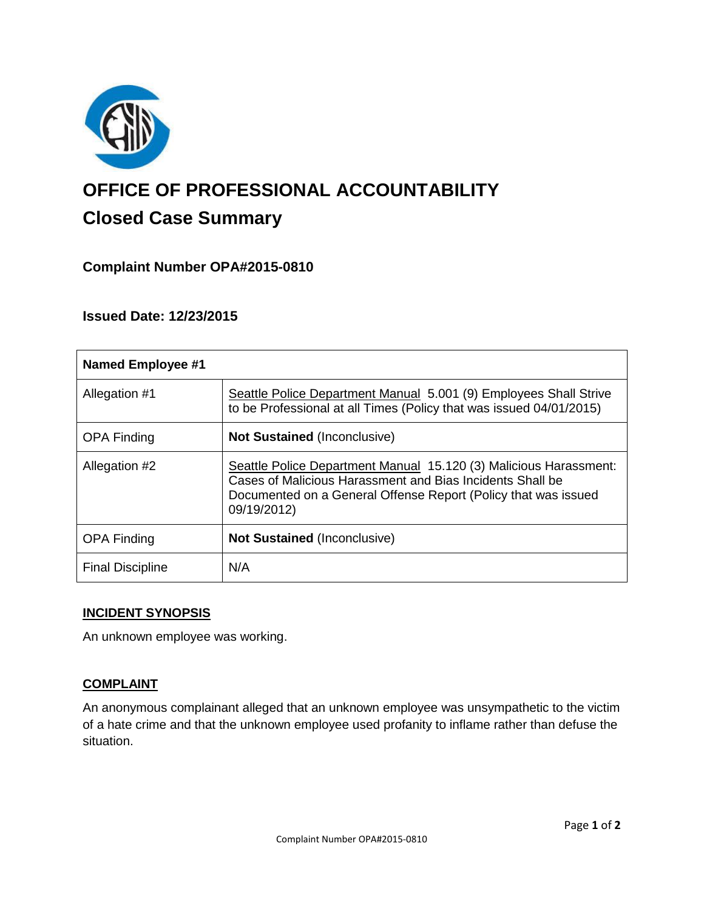

# **OFFICE OF PROFESSIONAL ACCOUNTABILITY Closed Case Summary**

# **Complaint Number OPA#2015-0810**

# **Issued Date: 12/23/2015**

| <b>Named Employee #1</b> |                                                                                                                                                                                                                 |
|--------------------------|-----------------------------------------------------------------------------------------------------------------------------------------------------------------------------------------------------------------|
| Allegation #1            | Seattle Police Department Manual 5.001 (9) Employees Shall Strive<br>to be Professional at all Times (Policy that was issued 04/01/2015)                                                                        |
| <b>OPA Finding</b>       | <b>Not Sustained (Inconclusive)</b>                                                                                                                                                                             |
| Allegation #2            | Seattle Police Department Manual 15.120 (3) Malicious Harassment:<br>Cases of Malicious Harassment and Bias Incidents Shall be<br>Documented on a General Offense Report (Policy that was issued<br>09/19/2012) |
| <b>OPA Finding</b>       | <b>Not Sustained (Inconclusive)</b>                                                                                                                                                                             |
| <b>Final Discipline</b>  | N/A                                                                                                                                                                                                             |

## **INCIDENT SYNOPSIS**

An unknown employee was working.

## **COMPLAINT**

An anonymous complainant alleged that an unknown employee was unsympathetic to the victim of a hate crime and that the unknown employee used profanity to inflame rather than defuse the situation.